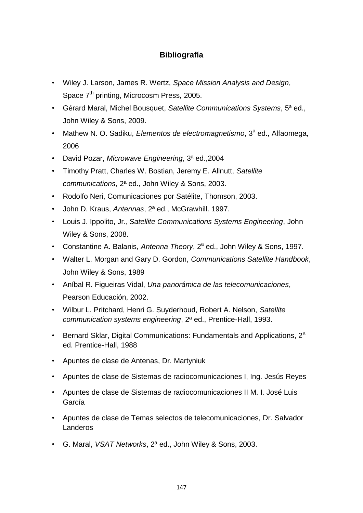## **Bibliografía**

- Wiley J. Larson, James R. Wertz, *Space Mission Analysis and Design*, Space 7<sup>th</sup> printing, Microcosm Press, 2005.
- Gérard Maral, Michel Bousquet, *Satellite Communications Systems*, 5ª ed., John Wiley & Sons, 2009.
- Mathew N. O. Sadiku, *Elementos de electromagnetismo*, 3<sup>a</sup> ed., Alfaomega, 2006
- David Pozar, *Microwave Engineering*, 3ª ed.,2004
- Timothy Pratt, Charles W. Bostian, Jeremy E. Allnutt, *Satellite communications*, 2ª ed., John Wiley & Sons, 2003.
- Rodolfo Neri, Comunicaciones por Satélite, Thomson, 2003.
- John D. Kraus, *Antennas*, 2ª ed., McGrawhill. 1997.
- Louis J. Ippolito, Jr., *Satellite Communications Systems Engineering*, John Wiley & Sons, 2008.
- Constantine A. Balanis, Antenna Theory, 2<sup>a</sup> ed., John Wiley & Sons, 1997.
- Walter L. Morgan and Gary D. Gordon, *Communications Satellite Handbook*, John Wiley & Sons, 1989
- Aníbal R. Figueiras Vidal, *Una panorámica de las telecomunicaciones*, Pearson Educación, 2002.
- Wilbur L. Pritchard, Henri G. Suyderhoud, Robert A. Nelson, *Satellite communication systems engineering*, 2ª ed., Prentice-Hall, 1993.
- Bernard Sklar, Digital Communications: Fundamentals and Applications,  $2^a$ ed. Prentice-Hall, 1988
- Apuntes de clase de Antenas, Dr. Martyniuk
- Apuntes de clase de Sistemas de radiocomunicaciones I, Ing. Jesús Reyes
- Apuntes de clase de Sistemas de radiocomunicaciones II M. I. José Luis García
- Apuntes de clase de Temas selectos de telecomunicaciones, Dr. Salvador **Landeros**
- G. Maral, *VSAT Networks*, 2ª ed., John Wiley & Sons, 2003.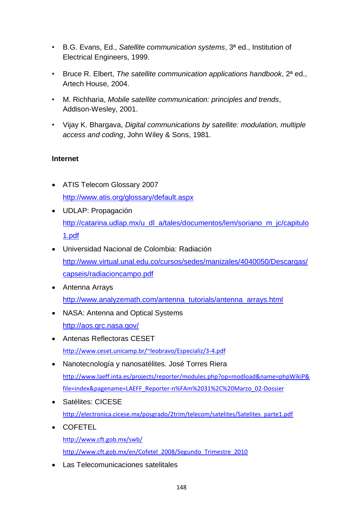- B.G. Evans, Ed., *Satellite communication systems*, 3ª ed., Institution of Electrical Engineers, 1999.
- Bruce R. Elbert, *The satellite communication applications handbook*, 2ª ed., Artech House, 2004.
- M. Richharia, *Mobile satellite communication: principles and trends*, Addison-Wesley, 2001.
- Vijay K. Bhargava, *Digital communications by satellite: modulation, multiple access and coding*, John Wiley & Sons, 1981.

## **Internet**

- ATIS Telecom Glossary 2007 <http://www.atis.org/glossary/default.aspx>
- UDLAP: Propagación [http://catarina.udlap.mx/u\\_dl\\_a/tales/documentos/lem/soriano\\_m\\_jc/capitulo](http://catarina.udlap.mx/u_dl_a/tales/documentos/lem/soriano_m_jc/capitulo1.pdf) [1.pdf](http://catarina.udlap.mx/u_dl_a/tales/documentos/lem/soriano_m_jc/capitulo1.pdf)
- Universidad Nacional de Colombia: Radiación [http://www.virtual.unal.edu.co/cursos/sedes/manizales/4040050/Descargas/](http://www.virtual.unal.edu.co/cursos/sedes/manizales/4040050/Descargas/capseis/radiacioncampo.pdf) [capseis/radiacioncampo.pdf](http://www.virtual.unal.edu.co/cursos/sedes/manizales/4040050/Descargas/capseis/radiacioncampo.pdf)
- Antenna Arrays [http://www.analyzemath.com/antenna\\_tutorials/antenna\\_arrays.html](http://www.analyzemath.com/antenna_tutorials/antenna_arrays.html)
- NASA: Antenna and Optical Systems <http://aos.grc.nasa.gov/>
- Antenas Reflectoras CESET <http://www.ceset.unicamp.br/~leobravo/Especializ/3-4.pdf>
- Nanotecnología y nanosatélites. José Torres Riera [http://www.laeff.inta.es/projects/reporter/modules.php?op=modload&name=phpWikiP&](http://www.laeff.inta.es/projects/reporter/modules.php?op=modload&name=phpWikiP&file=index&pagename=LAEFF_Reporter-n%FAm%2031%2C%20Marzo_02-Dossier) [file=index&pagename=LAEFF\\_Reporter-n%FAm%2031%2C%20Marzo\\_02-Dossier](http://www.laeff.inta.es/projects/reporter/modules.php?op=modload&name=phpWikiP&file=index&pagename=LAEFF_Reporter-n%FAm%2031%2C%20Marzo_02-Dossier)
- Satélites: CICESE [http://electronica.cicese.mx/posgrado/2trim/telecom/satelites/Satelites\\_parte1.pdf](http://electronica.cicese.mx/posgrado/2trim/telecom/satelites/Satelites_parte1.pdf)
- COFETEL <http://www.cft.gob.mx/swb/> [http://www.cft.gob.mx/en/Cofetel\\_2008/Segundo\\_Trimestre\\_2010](http://www.cft.gob.mx/en/Cofetel_2008/Segundo_Trimestre_2010)
- Las Telecomunicaciones satelitales